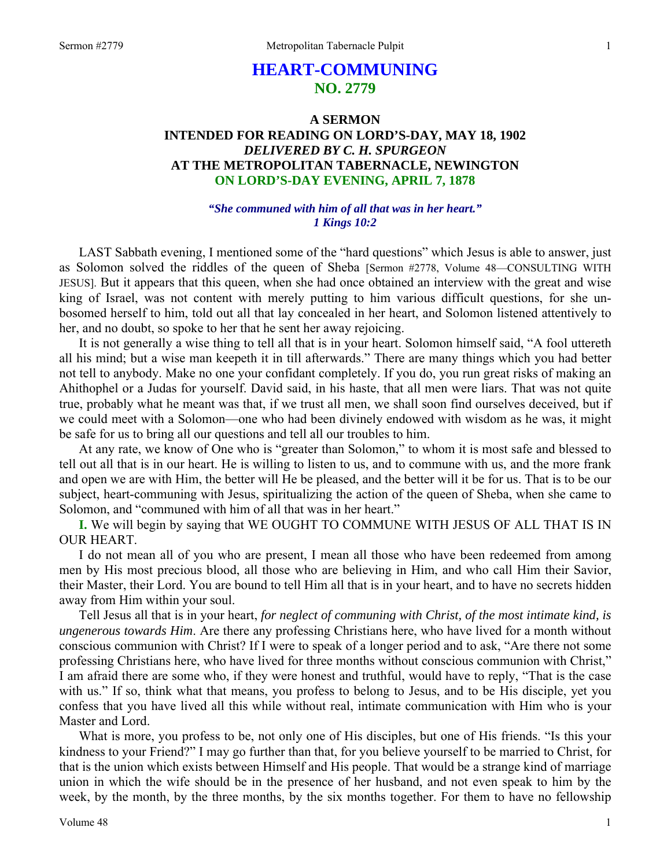# **HEART-COMMUNING NO. 2779**

# **A SERMON INTENDED FOR READING ON LORD'S-DAY, MAY 18, 1902**  *DELIVERED BY C. H. SPURGEON*  **AT THE METROPOLITAN TABERNACLE, NEWINGTON ON LORD'S-DAY EVENING, APRIL 7, 1878**

## *"She communed with him of all that was in her heart." 1 Kings 10:2*

LAST Sabbath evening, I mentioned some of the "hard questions" which Jesus is able to answer, just as Solomon solved the riddles of the queen of Sheba [Sermon #2778, Volume 48—CONSULTING WITH JESUS]. But it appears that this queen, when she had once obtained an interview with the great and wise king of Israel, was not content with merely putting to him various difficult questions, for she unbosomed herself to him, told out all that lay concealed in her heart, and Solomon listened attentively to her, and no doubt, so spoke to her that he sent her away rejoicing.

It is not generally a wise thing to tell all that is in your heart. Solomon himself said, "A fool uttereth all his mind; but a wise man keepeth it in till afterwards." There are many things which you had better not tell to anybody. Make no one your confidant completely. If you do, you run great risks of making an Ahithophel or a Judas for yourself. David said, in his haste, that all men were liars. That was not quite true, probably what he meant was that, if we trust all men, we shall soon find ourselves deceived, but if we could meet with a Solomon—one who had been divinely endowed with wisdom as he was, it might be safe for us to bring all our questions and tell all our troubles to him.

At any rate, we know of One who is "greater than Solomon," to whom it is most safe and blessed to tell out all that is in our heart. He is willing to listen to us, and to commune with us, and the more frank and open we are with Him, the better will He be pleased, and the better will it be for us. That is to be our subject, heart-communing with Jesus, spiritualizing the action of the queen of Sheba, when she came to Solomon, and "communed with him of all that was in her heart."

**I.** We will begin by saying that WE OUGHT TO COMMUNE WITH JESUS OF ALL THAT IS IN OUR HEART.

I do not mean all of you who are present, I mean all those who have been redeemed from among men by His most precious blood, all those who are believing in Him, and who call Him their Savior, their Master, their Lord. You are bound to tell Him all that is in your heart, and to have no secrets hidden away from Him within your soul.

Tell Jesus all that is in your heart, *for neglect of communing with Christ, of the most intimate kind, is ungenerous towards Him*. Are there any professing Christians here, who have lived for a month without conscious communion with Christ? If I were to speak of a longer period and to ask, "Are there not some professing Christians here, who have lived for three months without conscious communion with Christ," I am afraid there are some who, if they were honest and truthful, would have to reply, "That is the case with us." If so, think what that means, you profess to belong to Jesus, and to be His disciple, yet you confess that you have lived all this while without real, intimate communication with Him who is your Master and Lord.

What is more, you profess to be, not only one of His disciples, but one of His friends. "Is this your kindness to your Friend?" I may go further than that, for you believe yourself to be married to Christ, for that is the union which exists between Himself and His people. That would be a strange kind of marriage union in which the wife should be in the presence of her husband, and not even speak to him by the week, by the month, by the three months, by the six months together. For them to have no fellowship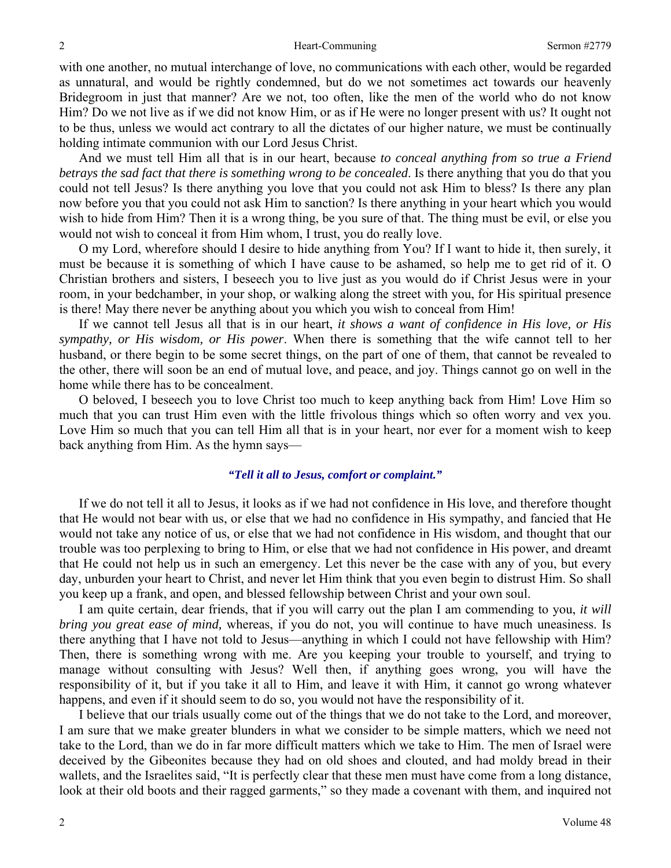with one another, no mutual interchange of love, no communications with each other, would be regarded as unnatural, and would be rightly condemned, but do we not sometimes act towards our heavenly Bridegroom in just that manner? Are we not, too often, like the men of the world who do not know Him? Do we not live as if we did not know Him, or as if He were no longer present with us? It ought not to be thus, unless we would act contrary to all the dictates of our higher nature, we must be continually holding intimate communion with our Lord Jesus Christ.

And we must tell Him all that is in our heart, because *to conceal anything from so true a Friend betrays the sad fact that there is something wrong to be concealed*. Is there anything that you do that you could not tell Jesus? Is there anything you love that you could not ask Him to bless? Is there any plan now before you that you could not ask Him to sanction? Is there anything in your heart which you would wish to hide from Him? Then it is a wrong thing, be you sure of that. The thing must be evil, or else you would not wish to conceal it from Him whom, I trust, you do really love.

O my Lord, wherefore should I desire to hide anything from You? If I want to hide it, then surely, it must be because it is something of which I have cause to be ashamed, so help me to get rid of it. O Christian brothers and sisters, I beseech you to live just as you would do if Christ Jesus were in your room, in your bedchamber, in your shop, or walking along the street with you, for His spiritual presence is there! May there never be anything about you which you wish to conceal from Him!

If we cannot tell Jesus all that is in our heart, *it shows a want of confidence in His love, or His sympathy, or His wisdom, or His power*. When there is something that the wife cannot tell to her husband, or there begin to be some secret things, on the part of one of them, that cannot be revealed to the other, there will soon be an end of mutual love, and peace, and joy. Things cannot go on well in the home while there has to be concealment.

O beloved, I beseech you to love Christ too much to keep anything back from Him! Love Him so much that you can trust Him even with the little frivolous things which so often worry and vex you. Love Him so much that you can tell Him all that is in your heart, nor ever for a moment wish to keep back anything from Him. As the hymn says—

#### *"Tell it all to Jesus, comfort or complaint."*

If we do not tell it all to Jesus, it looks as if we had not confidence in His love, and therefore thought that He would not bear with us, or else that we had no confidence in His sympathy, and fancied that He would not take any notice of us, or else that we had not confidence in His wisdom, and thought that our trouble was too perplexing to bring to Him, or else that we had not confidence in His power, and dreamt that He could not help us in such an emergency. Let this never be the case with any of you, but every day, unburden your heart to Christ, and never let Him think that you even begin to distrust Him. So shall you keep up a frank, and open, and blessed fellowship between Christ and your own soul.

I am quite certain, dear friends, that if you will carry out the plan I am commending to you, *it will bring you great ease of mind,* whereas, if you do not, you will continue to have much uneasiness. Is there anything that I have not told to Jesus—anything in which I could not have fellowship with Him? Then, there is something wrong with me. Are you keeping your trouble to yourself, and trying to manage without consulting with Jesus? Well then, if anything goes wrong, you will have the responsibility of it, but if you take it all to Him, and leave it with Him, it cannot go wrong whatever happens, and even if it should seem to do so, you would not have the responsibility of it.

I believe that our trials usually come out of the things that we do not take to the Lord, and moreover, I am sure that we make greater blunders in what we consider to be simple matters, which we need not take to the Lord, than we do in far more difficult matters which we take to Him. The men of Israel were deceived by the Gibeonites because they had on old shoes and clouted, and had moldy bread in their wallets, and the Israelites said, "It is perfectly clear that these men must have come from a long distance, look at their old boots and their ragged garments," so they made a covenant with them, and inquired not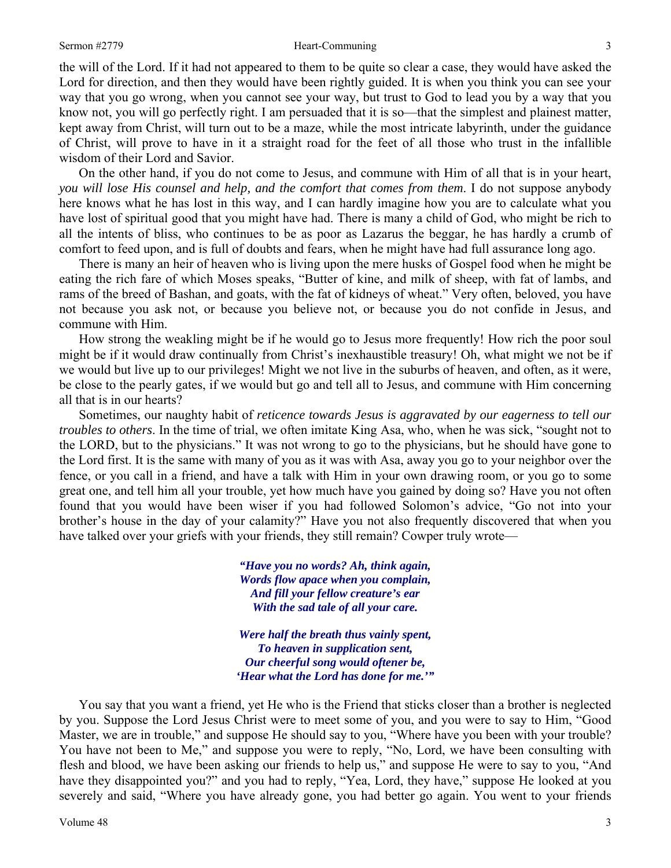#### Sermon #2779 **Heart-Communing** 3

the will of the Lord. If it had not appeared to them to be quite so clear a case, they would have asked the Lord for direction, and then they would have been rightly guided. It is when you think you can see your way that you go wrong, when you cannot see your way, but trust to God to lead you by a way that you know not, you will go perfectly right. I am persuaded that it is so—that the simplest and plainest matter, kept away from Christ, will turn out to be a maze, while the most intricate labyrinth, under the guidance of Christ, will prove to have in it a straight road for the feet of all those who trust in the infallible wisdom of their Lord and Savior.

On the other hand, if you do not come to Jesus, and commune with Him of all that is in your heart, *you will lose His counsel and help, and the comfort that comes from them*. I do not suppose anybody here knows what he has lost in this way, and I can hardly imagine how you are to calculate what you have lost of spiritual good that you might have had. There is many a child of God, who might be rich to all the intents of bliss, who continues to be as poor as Lazarus the beggar, he has hardly a crumb of comfort to feed upon, and is full of doubts and fears, when he might have had full assurance long ago.

There is many an heir of heaven who is living upon the mere husks of Gospel food when he might be eating the rich fare of which Moses speaks, "Butter of kine, and milk of sheep, with fat of lambs, and rams of the breed of Bashan, and goats, with the fat of kidneys of wheat." Very often, beloved, you have not because you ask not, or because you believe not, or because you do not confide in Jesus, and commune with Him.

How strong the weakling might be if he would go to Jesus more frequently! How rich the poor soul might be if it would draw continually from Christ's inexhaustible treasury! Oh, what might we not be if we would but live up to our privileges! Might we not live in the suburbs of heaven, and often, as it were, be close to the pearly gates, if we would but go and tell all to Jesus, and commune with Him concerning all that is in our hearts?

Sometimes, our naughty habit of *reticence towards Jesus is aggravated by our eagerness to tell our troubles to others*. In the time of trial, we often imitate King Asa, who, when he was sick, "sought not to the LORD, but to the physicians." It was not wrong to go to the physicians, but he should have gone to the Lord first. It is the same with many of you as it was with Asa, away you go to your neighbor over the fence, or you call in a friend, and have a talk with Him in your own drawing room, or you go to some great one, and tell him all your trouble, yet how much have you gained by doing so? Have you not often found that you would have been wiser if you had followed Solomon's advice, "Go not into your brother's house in the day of your calamity?" Have you not also frequently discovered that when you have talked over your griefs with your friends, they still remain? Cowper truly wrote—

> *"Have you no words? Ah, think again, Words flow apace when you complain, And fill your fellow creature's ear With the sad tale of all your care.*

*Were half the breath thus vainly spent, To heaven in supplication sent, Our cheerful song would oftener be, 'Hear what the Lord has done for me.'"* 

You say that you want a friend, yet He who is the Friend that sticks closer than a brother is neglected by you. Suppose the Lord Jesus Christ were to meet some of you, and you were to say to Him, "Good Master, we are in trouble," and suppose He should say to you, "Where have you been with your trouble? You have not been to Me," and suppose you were to reply, "No, Lord, we have been consulting with flesh and blood, we have been asking our friends to help us," and suppose He were to say to you, "And have they disappointed you?" and you had to reply, "Yea, Lord, they have," suppose He looked at you severely and said, "Where you have already gone, you had better go again. You went to your friends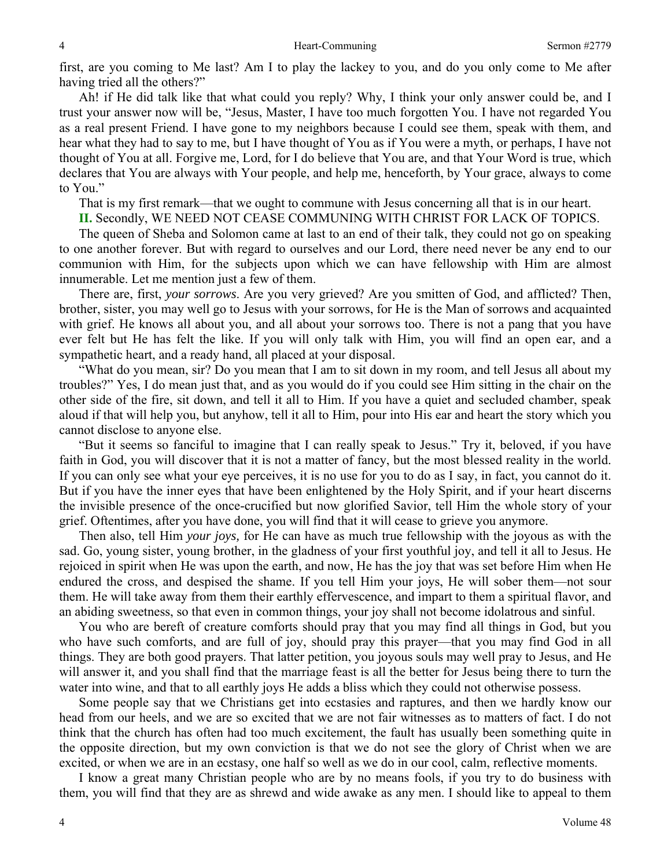first, are you coming to Me last? Am I to play the lackey to you, and do you only come to Me after having tried all the others?"

Ah! if He did talk like that what could you reply? Why, I think your only answer could be, and I trust your answer now will be, "Jesus, Master, I have too much forgotten You. I have not regarded You as a real present Friend. I have gone to my neighbors because I could see them, speak with them, and hear what they had to say to me, but I have thought of You as if You were a myth, or perhaps, I have not thought of You at all. Forgive me, Lord, for I do believe that You are, and that Your Word is true, which declares that You are always with Your people, and help me, henceforth, by Your grace, always to come to You."

That is my first remark—that we ought to commune with Jesus concerning all that is in our heart.

**II.** Secondly, WE NEED NOT CEASE COMMUNING WITH CHRIST FOR LACK OF TOPICS.

The queen of Sheba and Solomon came at last to an end of their talk, they could not go on speaking to one another forever. But with regard to ourselves and our Lord, there need never be any end to our communion with Him, for the subjects upon which we can have fellowship with Him are almost innumerable. Let me mention just a few of them.

There are, first, *your sorrows*. Are you very grieved? Are you smitten of God, and afflicted? Then, brother, sister, you may well go to Jesus with your sorrows, for He is the Man of sorrows and acquainted with grief. He knows all about you, and all about your sorrows too. There is not a pang that you have ever felt but He has felt the like. If you will only talk with Him, you will find an open ear, and a sympathetic heart, and a ready hand, all placed at your disposal.

"What do you mean, sir? Do you mean that I am to sit down in my room, and tell Jesus all about my troubles?" Yes, I do mean just that, and as you would do if you could see Him sitting in the chair on the other side of the fire, sit down, and tell it all to Him. If you have a quiet and secluded chamber, speak aloud if that will help you, but anyhow, tell it all to Him, pour into His ear and heart the story which you cannot disclose to anyone else.

"But it seems so fanciful to imagine that I can really speak to Jesus." Try it, beloved, if you have faith in God, you will discover that it is not a matter of fancy, but the most blessed reality in the world. If you can only see what your eye perceives, it is no use for you to do as I say, in fact, you cannot do it. But if you have the inner eyes that have been enlightened by the Holy Spirit, and if your heart discerns the invisible presence of the once-crucified but now glorified Savior, tell Him the whole story of your grief. Oftentimes, after you have done, you will find that it will cease to grieve you anymore.

Then also, tell Him *your joys,* for He can have as much true fellowship with the joyous as with the sad. Go, young sister, young brother, in the gladness of your first youthful joy, and tell it all to Jesus. He rejoiced in spirit when He was upon the earth, and now, He has the joy that was set before Him when He endured the cross, and despised the shame. If you tell Him your joys, He will sober them—not sour them. He will take away from them their earthly effervescence, and impart to them a spiritual flavor, and an abiding sweetness, so that even in common things, your joy shall not become idolatrous and sinful.

You who are bereft of creature comforts should pray that you may find all things in God, but you who have such comforts, and are full of joy, should pray this prayer—that you may find God in all things. They are both good prayers. That latter petition, you joyous souls may well pray to Jesus, and He will answer it, and you shall find that the marriage feast is all the better for Jesus being there to turn the water into wine, and that to all earthly joys He adds a bliss which they could not otherwise possess.

Some people say that we Christians get into ecstasies and raptures, and then we hardly know our head from our heels, and we are so excited that we are not fair witnesses as to matters of fact. I do not think that the church has often had too much excitement, the fault has usually been something quite in the opposite direction, but my own conviction is that we do not see the glory of Christ when we are excited, or when we are in an ecstasy, one half so well as we do in our cool, calm, reflective moments.

I know a great many Christian people who are by no means fools, if you try to do business with them, you will find that they are as shrewd and wide awake as any men. I should like to appeal to them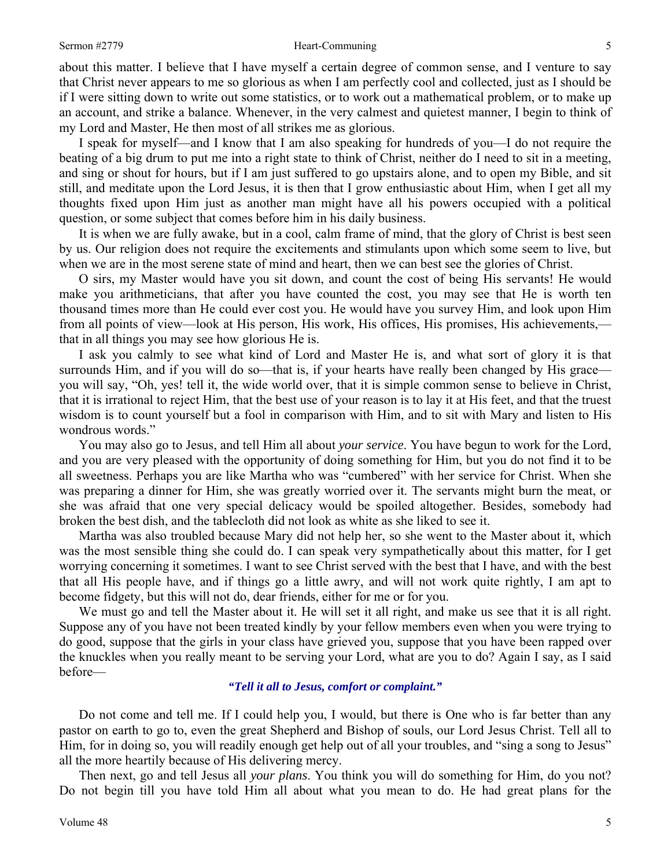### Sermon #2779 **Heart-Communing** 5

about this matter. I believe that I have myself a certain degree of common sense, and I venture to say that Christ never appears to me so glorious as when I am perfectly cool and collected, just as I should be if I were sitting down to write out some statistics, or to work out a mathematical problem, or to make up an account, and strike a balance. Whenever, in the very calmest and quietest manner, I begin to think of my Lord and Master, He then most of all strikes me as glorious.

I speak for myself—and I know that I am also speaking for hundreds of you—I do not require the beating of a big drum to put me into a right state to think of Christ, neither do I need to sit in a meeting, and sing or shout for hours, but if I am just suffered to go upstairs alone, and to open my Bible, and sit still, and meditate upon the Lord Jesus, it is then that I grow enthusiastic about Him, when I get all my thoughts fixed upon Him just as another man might have all his powers occupied with a political question, or some subject that comes before him in his daily business.

It is when we are fully awake, but in a cool, calm frame of mind, that the glory of Christ is best seen by us. Our religion does not require the excitements and stimulants upon which some seem to live, but when we are in the most serene state of mind and heart, then we can best see the glories of Christ.

O sirs, my Master would have you sit down, and count the cost of being His servants! He would make you arithmeticians, that after you have counted the cost, you may see that He is worth ten thousand times more than He could ever cost you. He would have you survey Him, and look upon Him from all points of view—look at His person, His work, His offices, His promises, His achievements, that in all things you may see how glorious He is.

I ask you calmly to see what kind of Lord and Master He is, and what sort of glory it is that surrounds Him, and if you will do so—that is, if your hearts have really been changed by His grace you will say, "Oh, yes! tell it, the wide world over, that it is simple common sense to believe in Christ, that it is irrational to reject Him, that the best use of your reason is to lay it at His feet, and that the truest wisdom is to count yourself but a fool in comparison with Him, and to sit with Mary and listen to His wondrous words."

You may also go to Jesus, and tell Him all about *your service*. You have begun to work for the Lord, and you are very pleased with the opportunity of doing something for Him, but you do not find it to be all sweetness. Perhaps you are like Martha who was "cumbered" with her service for Christ. When she was preparing a dinner for Him, she was greatly worried over it. The servants might burn the meat, or she was afraid that one very special delicacy would be spoiled altogether. Besides, somebody had broken the best dish, and the tablecloth did not look as white as she liked to see it.

Martha was also troubled because Mary did not help her, so she went to the Master about it, which was the most sensible thing she could do. I can speak very sympathetically about this matter, for I get worrying concerning it sometimes. I want to see Christ served with the best that I have, and with the best that all His people have, and if things go a little awry, and will not work quite rightly, I am apt to become fidgety, but this will not do, dear friends, either for me or for you.

We must go and tell the Master about it. He will set it all right, and make us see that it is all right. Suppose any of you have not been treated kindly by your fellow members even when you were trying to do good, suppose that the girls in your class have grieved you, suppose that you have been rapped over the knuckles when you really meant to be serving your Lord, what are you to do? Again I say, as I said before—

# *"Tell it all to Jesus, comfort or complaint."*

Do not come and tell me. If I could help you, I would, but there is One who is far better than any pastor on earth to go to, even the great Shepherd and Bishop of souls, our Lord Jesus Christ. Tell all to Him, for in doing so, you will readily enough get help out of all your troubles, and "sing a song to Jesus" all the more heartily because of His delivering mercy.

Then next, go and tell Jesus all *your plans*. You think you will do something for Him, do you not? Do not begin till you have told Him all about what you mean to do. He had great plans for the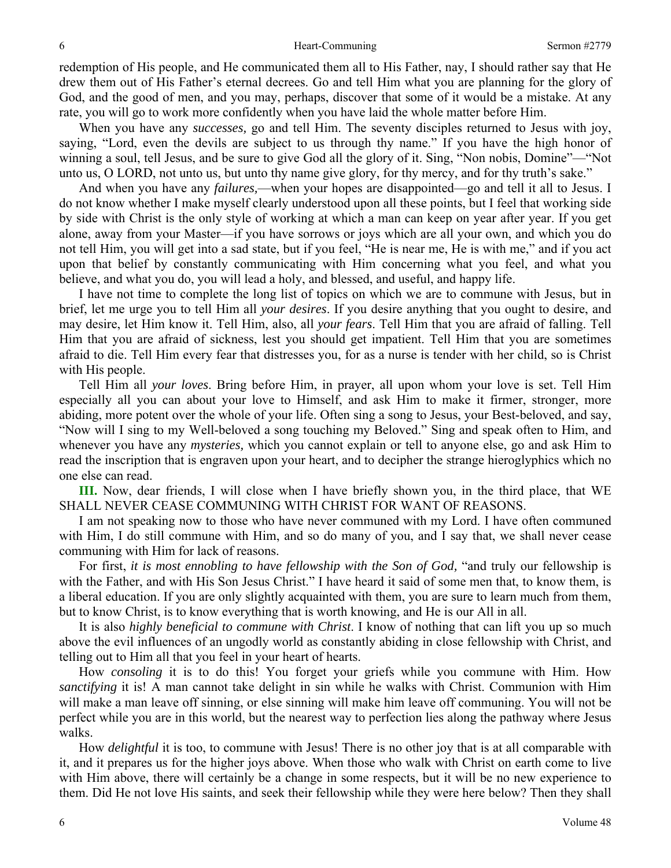#### 6 Heart-Communing Sermon #2779

redemption of His people, and He communicated them all to His Father, nay, I should rather say that He drew them out of His Father's eternal decrees. Go and tell Him what you are planning for the glory of God, and the good of men, and you may, perhaps, discover that some of it would be a mistake. At any rate, you will go to work more confidently when you have laid the whole matter before Him.

When you have any *successes,* go and tell Him. The seventy disciples returned to Jesus with joy, saying, "Lord, even the devils are subject to us through thy name." If you have the high honor of winning a soul, tell Jesus, and be sure to give God all the glory of it. Sing, "Non nobis, Domine"—"Not unto us, O LORD, not unto us, but unto thy name give glory, for thy mercy, and for thy truth's sake."

And when you have any *failures,*—when your hopes are disappointed—go and tell it all to Jesus. I do not know whether I make myself clearly understood upon all these points, but I feel that working side by side with Christ is the only style of working at which a man can keep on year after year. If you get alone, away from your Master—if you have sorrows or joys which are all your own, and which you do not tell Him, you will get into a sad state, but if you feel, "He is near me, He is with me," and if you act upon that belief by constantly communicating with Him concerning what you feel, and what you believe, and what you do, you will lead a holy, and blessed, and useful, and happy life.

I have not time to complete the long list of topics on which we are to commune with Jesus, but in brief, let me urge you to tell Him all *your desires*. If you desire anything that you ought to desire, and may desire, let Him know it. Tell Him, also, all *your fears*. Tell Him that you are afraid of falling. Tell Him that you are afraid of sickness, lest you should get impatient. Tell Him that you are sometimes afraid to die. Tell Him every fear that distresses you, for as a nurse is tender with her child, so is Christ with His people.

Tell Him all *your loves*. Bring before Him, in prayer, all upon whom your love is set. Tell Him especially all you can about your love to Himself, and ask Him to make it firmer, stronger, more abiding, more potent over the whole of your life. Often sing a song to Jesus, your Best-beloved, and say, "Now will I sing to my Well-beloved a song touching my Beloved." Sing and speak often to Him, and whenever you have any *mysteries,* which you cannot explain or tell to anyone else, go and ask Him to read the inscription that is engraven upon your heart, and to decipher the strange hieroglyphics which no one else can read.

**III.** Now, dear friends, I will close when I have briefly shown you, in the third place, that WE SHALL NEVER CEASE COMMUNING WITH CHRIST FOR WANT OF REASONS.

I am not speaking now to those who have never communed with my Lord. I have often communed with Him, I do still commune with Him, and so do many of you, and I say that, we shall never cease communing with Him for lack of reasons.

For first, *it is most ennobling to have fellowship with the Son of God,* "and truly our fellowship is with the Father, and with His Son Jesus Christ." I have heard it said of some men that, to know them, is a liberal education. If you are only slightly acquainted with them, you are sure to learn much from them, but to know Christ, is to know everything that is worth knowing, and He is our All in all.

It is also *highly beneficial to commune with Christ*. I know of nothing that can lift you up so much above the evil influences of an ungodly world as constantly abiding in close fellowship with Christ, and telling out to Him all that you feel in your heart of hearts.

How *consoling* it is to do this! You forget your griefs while you commune with Him. How *sanctifying* it is! A man cannot take delight in sin while he walks with Christ. Communion with Him will make a man leave off sinning, or else sinning will make him leave off communing. You will not be perfect while you are in this world, but the nearest way to perfection lies along the pathway where Jesus walks.

How *delightful* it is too, to commune with Jesus! There is no other joy that is at all comparable with it, and it prepares us for the higher joys above. When those who walk with Christ on earth come to live with Him above, there will certainly be a change in some respects, but it will be no new experience to them. Did He not love His saints, and seek their fellowship while they were here below? Then they shall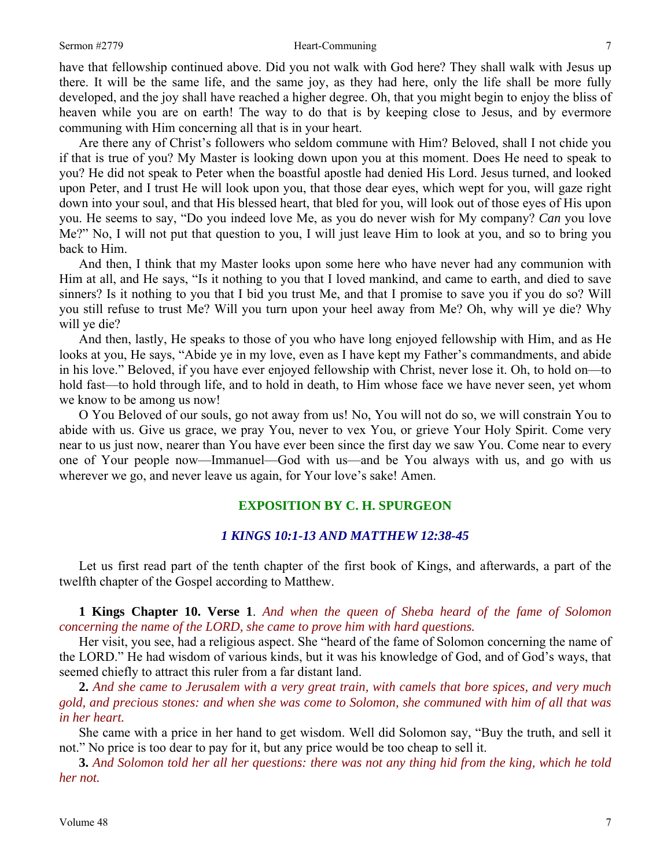### Sermon #2779 **Heart-Communing** 7

have that fellowship continued above. Did you not walk with God here? They shall walk with Jesus up there. It will be the same life, and the same joy, as they had here, only the life shall be more fully developed, and the joy shall have reached a higher degree. Oh, that you might begin to enjoy the bliss of heaven while you are on earth! The way to do that is by keeping close to Jesus, and by evermore communing with Him concerning all that is in your heart.

Are there any of Christ's followers who seldom commune with Him? Beloved, shall I not chide you if that is true of you? My Master is looking down upon you at this moment. Does He need to speak to you? He did not speak to Peter when the boastful apostle had denied His Lord. Jesus turned, and looked upon Peter, and I trust He will look upon you, that those dear eyes, which wept for you, will gaze right down into your soul, and that His blessed heart, that bled for you, will look out of those eyes of His upon you. He seems to say, "Do you indeed love Me, as you do never wish for My company? *Can* you love Me?" No, I will not put that question to you, I will just leave Him to look at you, and so to bring you back to Him.

And then, I think that my Master looks upon some here who have never had any communion with Him at all, and He says, "Is it nothing to you that I loved mankind, and came to earth, and died to save sinners? Is it nothing to you that I bid you trust Me, and that I promise to save you if you do so? Will you still refuse to trust Me? Will you turn upon your heel away from Me? Oh, why will ye die? Why will ye die?

And then, lastly, He speaks to those of you who have long enjoyed fellowship with Him, and as He looks at you, He says, "Abide ye in my love, even as I have kept my Father's commandments, and abide in his love." Beloved, if you have ever enjoyed fellowship with Christ, never lose it. Oh, to hold on—to hold fast—to hold through life, and to hold in death, to Him whose face we have never seen, yet whom we know to be among us now!

O You Beloved of our souls, go not away from us! No, You will not do so, we will constrain You to abide with us. Give us grace, we pray You, never to vex You, or grieve Your Holy Spirit. Come very near to us just now, nearer than You have ever been since the first day we saw You. Come near to every one of Your people now—Immanuel—God with us—and be You always with us, and go with us wherever we go, and never leave us again, for Your love's sake! Amen.

# **EXPOSITION BY C. H. SPURGEON**

# *1 KINGS 10:1-13 AND MATTHEW 12:38-45*

Let us first read part of the tenth chapter of the first book of Kings, and afterwards, a part of the twelfth chapter of the Gospel according to Matthew.

**1 Kings Chapter 10. Verse 1**. *And when the queen of Sheba heard of the fame of Solomon concerning the name of the LORD, she came to prove him with hard questions.* 

Her visit, you see, had a religious aspect. She "heard of the fame of Solomon concerning the name of the LORD." He had wisdom of various kinds, but it was his knowledge of God, and of God's ways, that seemed chiefly to attract this ruler from a far distant land.

**2.** *And she came to Jerusalem with a very great train, with camels that bore spices, and very much gold, and precious stones: and when she was come to Solomon, she communed with him of all that was in her heart.* 

She came with a price in her hand to get wisdom. Well did Solomon say, "Buy the truth, and sell it not." No price is too dear to pay for it, but any price would be too cheap to sell it.

**3.** *And Solomon told her all her questions: there was not any thing hid from the king, which he told her not.*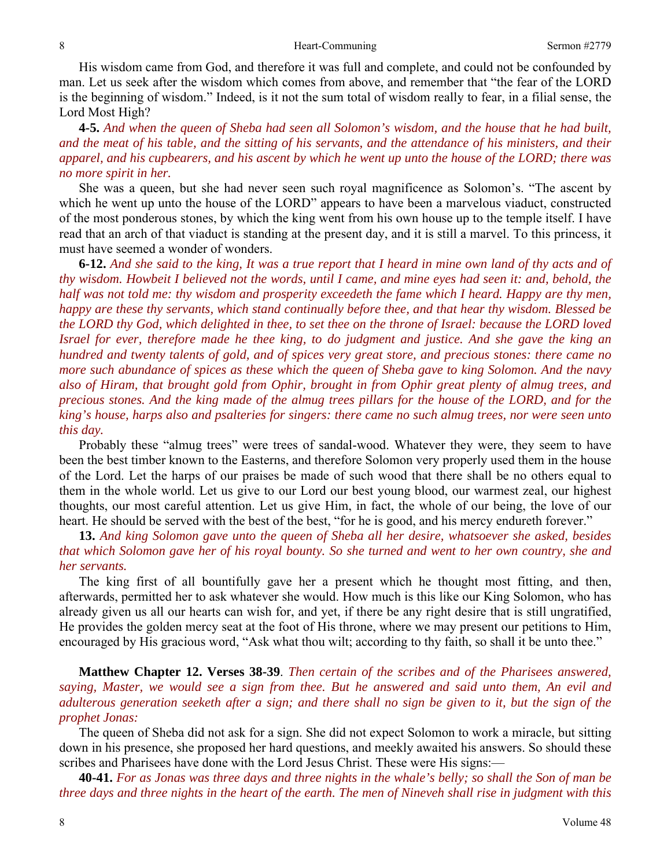#### 8 Sermon #2779

His wisdom came from God, and therefore it was full and complete, and could not be confounded by man. Let us seek after the wisdom which comes from above, and remember that "the fear of the LORD is the beginning of wisdom." Indeed, is it not the sum total of wisdom really to fear, in a filial sense, the Lord Most High?

**4-5.** *And when the queen of Sheba had seen all Solomon's wisdom, and the house that he had built, and the meat of his table, and the sitting of his servants, and the attendance of his ministers, and their apparel, and his cupbearers, and his ascent by which he went up unto the house of the LORD; there was no more spirit in her.* 

She was a queen, but she had never seen such royal magnificence as Solomon's. "The ascent by which he went up unto the house of the LORD" appears to have been a marvelous viaduct, constructed of the most ponderous stones, by which the king went from his own house up to the temple itself. I have read that an arch of that viaduct is standing at the present day, and it is still a marvel. To this princess, it must have seemed a wonder of wonders.

**6-12.** *And she said to the king, It was a true report that I heard in mine own land of thy acts and of thy wisdom. Howbeit I believed not the words, until I came, and mine eyes had seen it: and, behold, the half was not told me: thy wisdom and prosperity exceedeth the fame which I heard. Happy are thy men, happy are these thy servants, which stand continually before thee, and that hear thy wisdom. Blessed be the LORD thy God, which delighted in thee, to set thee on the throne of Israel: because the LORD loved Israel for ever, therefore made he thee king, to do judgment and justice. And she gave the king an hundred and twenty talents of gold, and of spices very great store, and precious stones: there came no more such abundance of spices as these which the queen of Sheba gave to king Solomon. And the navy also of Hiram, that brought gold from Ophir, brought in from Ophir great plenty of almug trees, and precious stones. And the king made of the almug trees pillars for the house of the LORD, and for the king's house, harps also and psalteries for singers: there came no such almug trees, nor were seen unto this day.* 

Probably these "almug trees" were trees of sandal-wood. Whatever they were, they seem to have been the best timber known to the Easterns, and therefore Solomon very properly used them in the house of the Lord. Let the harps of our praises be made of such wood that there shall be no others equal to them in the whole world. Let us give to our Lord our best young blood, our warmest zeal, our highest thoughts, our most careful attention. Let us give Him, in fact, the whole of our being, the love of our heart. He should be served with the best of the best, "for he is good, and his mercy endureth forever."

**13.** *And king Solomon gave unto the queen of Sheba all her desire, whatsoever she asked, besides that which Solomon gave her of his royal bounty. So she turned and went to her own country, she and her servants.* 

The king first of all bountifully gave her a present which he thought most fitting, and then, afterwards, permitted her to ask whatever she would. How much is this like our King Solomon, who has already given us all our hearts can wish for, and yet, if there be any right desire that is still ungratified, He provides the golden mercy seat at the foot of His throne, where we may present our petitions to Him, encouraged by His gracious word, "Ask what thou wilt; according to thy faith, so shall it be unto thee."

**Matthew Chapter 12. Verses 38-39**. *Then certain of the scribes and of the Pharisees answered, saying, Master, we would see a sign from thee. But he answered and said unto them, An evil and adulterous generation seeketh after a sign; and there shall no sign be given to it, but the sign of the prophet Jonas:* 

The queen of Sheba did not ask for a sign. She did not expect Solomon to work a miracle, but sitting down in his presence, she proposed her hard questions, and meekly awaited his answers. So should these scribes and Pharisees have done with the Lord Jesus Christ. These were His signs:—

**40-41.** *For as Jonas was three days and three nights in the whale's belly; so shall the Son of man be three days and three nights in the heart of the earth. The men of Nineveh shall rise in judgment with this*